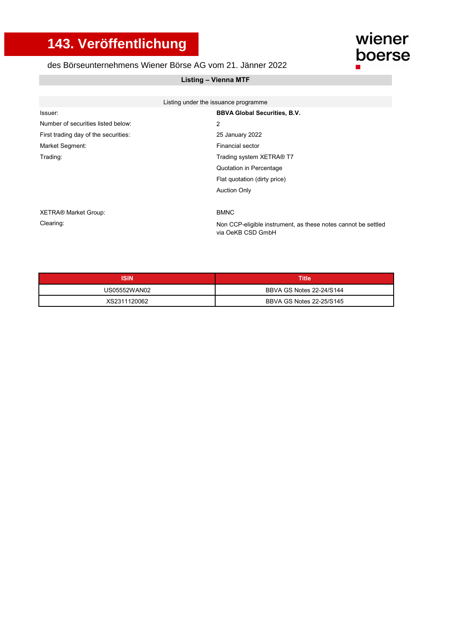## **143. Veröffentlichung**

## des Börseunternehmens Wiener Börse AG vom 21. Jänner 2022

## **Listing – Vienna MTF**

|                                      | Listing under the issuance programme                          |
|--------------------------------------|---------------------------------------------------------------|
| Issuer:                              | <b>BBVA Global Securities, B.V.</b>                           |
| Number of securities listed below:   | 2                                                             |
| First trading day of the securities: | 25 January 2022                                               |
| Market Segment:                      | <b>Financial sector</b>                                       |
| Trading:                             | Trading system XETRA® T7                                      |
|                                      | Quotation in Percentage                                       |
|                                      | Flat quotation (dirty price)                                  |
|                                      | <b>Auction Only</b>                                           |
|                                      |                                                               |
| <b>XETRA® Market Group:</b>          | <b>BMNC</b>                                                   |
| Clearing:                            | Non CCP-eligible instrument, as these notes cannot be settled |

Non CCP-eligible instrument, as these notes cannot be settled via OeKB CSD GmbH

wiener

boerse

 $\blacksquare$ 

| <b>ISIN</b>  | Title                    |
|--------------|--------------------------|
| US05552WAN02 | BBVA GS Notes 22-24/S144 |
| XS2311120062 | BBVA GS Notes 22-25/S145 |